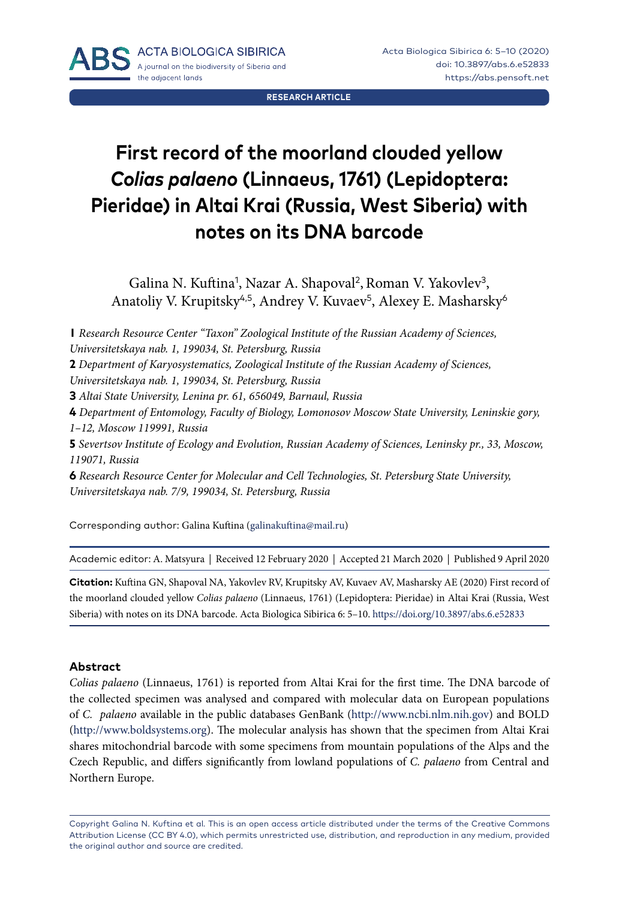**RESEARCH ARTICLE**

# **First record of the moorland clouded yellow**  *Colias palaeno* **(Linnaeus, 1761) (Lepidoptera: Pieridae) in Altai Krai (Russia, West Siberia) with notes on its DNA barcode**

Galina N. Kuftina<sup>1</sup>, Nazar A. Shapoval<sup>2</sup>, Roman V. Yakovlev<sup>3</sup>, Anatoliy V. Krupitsky<sup>4,5</sup>, Andrey V. Kuvaev<sup>5</sup>, Alexey E. Masharsky<sup>6</sup>

**1** *Research Resource Center "Taxon" Zoological Institute of the Russian Academy of Sciences, Universitetskaya nab. 1, 199034, St. Petersburg, Russia*

**2** *Department of Karyosystematics, Zoological Institute of the Russian Academy of Sciences,* 

*Universitetskaya nab. 1, 199034, St. Petersburg, Russia* 

**3** *Altai State University, Lenina pr. 61, 656049, Barnaul, Russia* 

**4** *Department of Entomology, Faculty of Biology, Lomonosov Moscow State University, Leninskie gory, 1–12, Moscow 119991, Russia*

**5** *Severtsov Institute of Ecology and Evolution, Russian Academy of Sciences, Leninsky pr., 33, Moscow, 119071, Russia* 

**6** *Research Resource Center for Molecular and Cell Technologies, St. Petersburg State University, Universitetskaya nab. 7/9, 199034, St. Petersburg, Russia*

Corresponding author: Galina Kuftina [\(galinakuftina@mail.ru\)](mailto:galinakuftina@mail.ru)

Academic editor: A. Matsyura | Received 12 February 2020 | Accepted 21 March 2020 | Published 9 April 2020

**Citation:** Kuftina GN, Shapoval NA, Yakovlev RV, Krupitsky AV, Kuvaev AV, Masharsky AE (2020) First record of the moorland clouded yellow *Colias palaeno* (Linnaeus, 1761) (Lepidoptera: Pieridae) in Altai Krai (Russia, West Siberia) with notes on its DNA barcode. Acta Biologica Sibirica 6: 5–10. <https://doi.org/10.3897/abs.6.e52833>

#### **Abstract**

*Colias palaeno* (Linnaeus, 1761) is reported from Altai Krai for the first time. The DNA barcode of the collected specimen was analysed and compared with molecular data on European populations of *C. palaeno* available in the public databases GenBank ([http://www.ncbi.nlm.nih.gov\)](http://www.ncbi.nlm.nih.gov) and BOLD (<http://www.boldsystems.org>). The molecular analysis has shown that the specimen from Altai Krai shares mitochondrial barcode with some specimens from mountain populations of the Alps and the Czech Republic, and differs significantly from lowland populations of *C. palaeno* from Central and Northern Europe.

Copyright Galina N. Kuftina et al*.* This is an open access article distributed under the terms of the [Creative Commons](http://creativecommons.org/licenses/by/4.0/)  [Attribution License \(CC BY 4.0\)](http://creativecommons.org/licenses/by/4.0/), which permits unrestricted use, distribution, and reproduction in any medium, provided the original author and source are credited.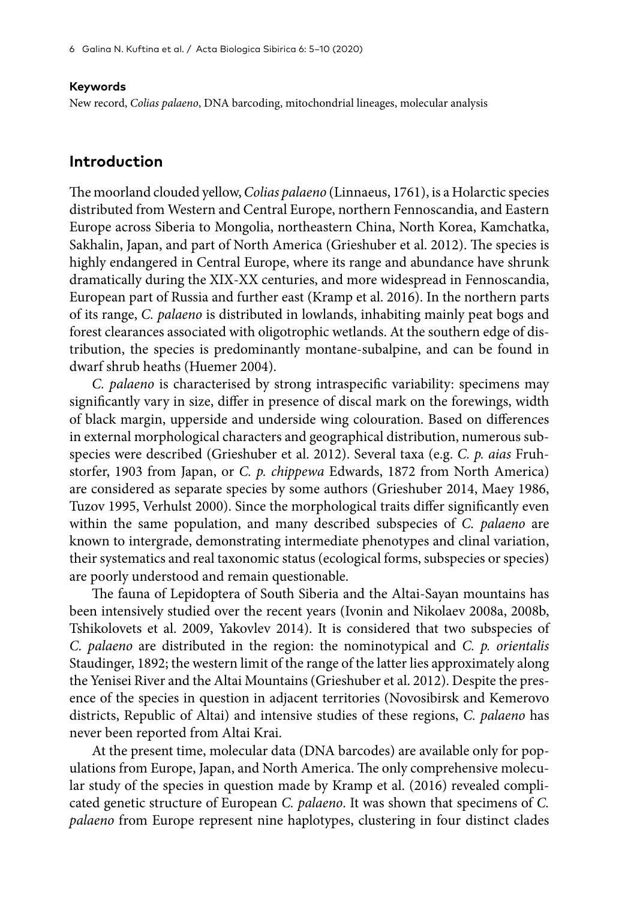#### **Keywords**

New record, *Colias palaeno*, DNA barcoding, mitochondrial lineages, molecular analysis

#### **Introduction**

The moorland clouded yellow, *Colias palaeno* (Linnaeus, 1761), is a Holarctic species distributed from Western and Central Europe, northern Fennoscandia, and Eastern Europe across Siberia to Mongolia, northeastern China, North Korea, Kamchatka, Sakhalin, Japan, and part of North America (Grieshuber et al. 2012). The species is highly endangered in Central Europe, where its range and abundance have shrunk dramatically during the XIX-XX centuries, and more widespread in Fennoscandia, European part of Russia and further east (Kramp et al. 2016). In the northern parts of its range, *C. palaeno* is distributed in lowlands, inhabiting mainly peat bogs and forest clearances associated with oligotrophic wetlands. At the southern edge of distribution, the species is predominantly montane-subalpine, and can be found in dwarf shrub heaths (Huemer 2004).

*C. palaeno* is characterised by strong intraspecific variability: specimens may significantly vary in size, differ in presence of discal mark on the forewings, width of black margin, upperside and underside wing colouration. Based on differences in external morphological characters and geographical distribution, numerous subspecies were described (Grieshuber et al. 2012). Several taxa (e.g. *C. p. aias* Fruhstorfer, 1903 from Japan, or *C. p. сhippewa* Edwards, 1872 from North America) are considered as separate species by some authors (Grieshuber 2014, Maey 1986, Tuzov 1995, Verhulst 2000). Since the morphological traits differ significantly even within the same population, and many described subspecies of *C. palaeno* are known to intergrade, demonstrating intermediate phenotypes and clinal variation, their systematics and real taxonomic status (ecological forms, subspecies or species) are poorly understood and remain questionable.

The fauna of Lepidoptera of South Siberia and the Altai-Sayan mountains has been intensively studied over the recent years (Ivonin and Nikolaev 2008a, 2008b, Tshikolovets et al. 2009, Yakovlev 2014). It is considered that two subspecies of *C. palaeno* are distributed in the region: the nominotypical and *C. p. orientalis* Staudinger, 1892; the western limit of the range of the latter lies approximately along the Yenisei River and the Altai Mountains (Grieshuber et al. 2012). Despite the presence of the species in question in adjacent territories (Novosibirsk and Kemerovo districts, Republic of Altai) and intensive studies of these regions, *C. palaeno* has never been reported from Altai Krai.

At the present time, molecular data (DNA barcodes) are available only for populations from Europe, Japan, and North America. The only comprehensive molecular study of the species in question made by Kramp et al. (2016) revealed complicated genetic structure of European *C. palaeno*. It was shown that specimens of *C. palaeno* from Europe represent nine haplotypes, clustering in four distinct clades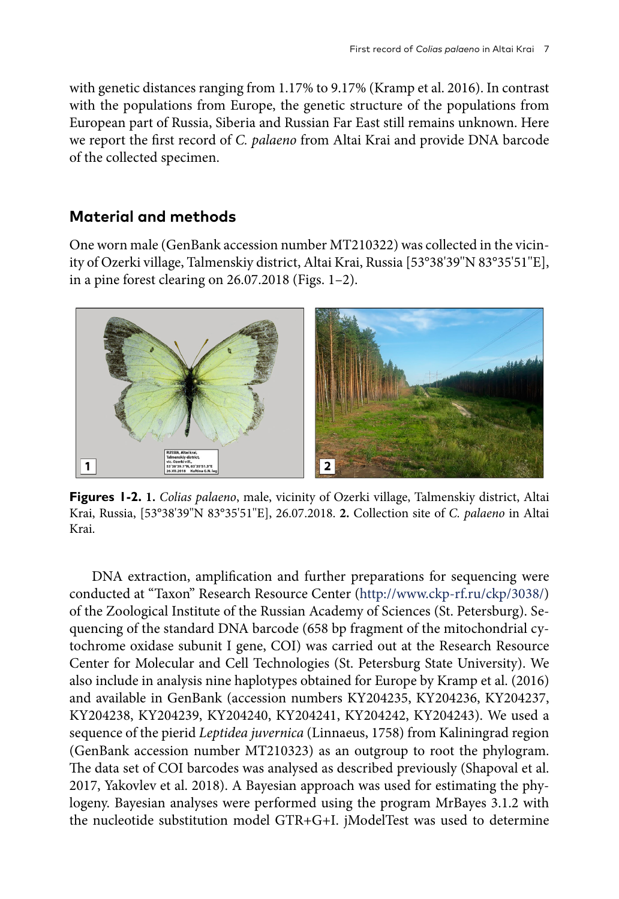with genetic distances ranging from 1.17% to 9.17% (Kramp et al. 2016). In contrast with the populations from Europe, the genetic structure of the populations from European part of Russia, Siberia and Russian Far East still remains unknown. Here we report the first record of *C. palaeno* from Altai Krai and provide DNA barcode of the collected specimen.

### **Material and methods**

One worn male (GenBank accession number MT210322) was collected in the vicinity of Ozerki village, Talmenskiy district, Altai Krai, Russia [53°38'39''N 83°35'51''E], in a pine forest clearing on 26.07.2018 (Figs. 1–2).



**Figures 1-2. 1.** *Colias palaeno*, male, vicinity of Ozerki village, Talmenskiy district, Altai Krai, Russia, [53°38'39''N 83°35'51''E], 26.07.2018. **2.** Collection site of *C. palaeno* in Altai Krai.

DNA extraction, amplification and further preparations for sequencing were conducted at "Taxon" Research Resource Center (<http://www.ckp-rf.ru/ckp/3038/>) of the Zoological Institute of the Russian Academy of Sciences (St. Petersburg). Sequencing of the standard DNA barcode (658 bp fragment of the mitochondrial cytochrome oxidase subunit I gene, COI) was carried out at the Research Resource Center for Molecular and Cell Technologies (St. Petersburg State University). We also include in analysis nine haplotypes obtained for Europe by Kramp et al. (2016) and available in GenBank (accession numbers KY204235, KY204236, KY204237, KY204238, KY204239, KY204240, KY204241, KY204242, KY204243). We used a sequence of the pierid *Leptidea juvernica* (Linnaeus, 1758) from Kaliningrad region (GenBank accession number MT210323) as an outgroup to root the phylogram. The data set of COI barcodes was analysed as described previously (Shapoval et al. 2017, Yakovlev et al. 2018). A Bayesian approach was used for estimating the phylogeny. Bayesian analyses were performed using the program MrBayes 3.1.2 with the nucleotide substitution model GTR+G+I. jModelTest was used to determine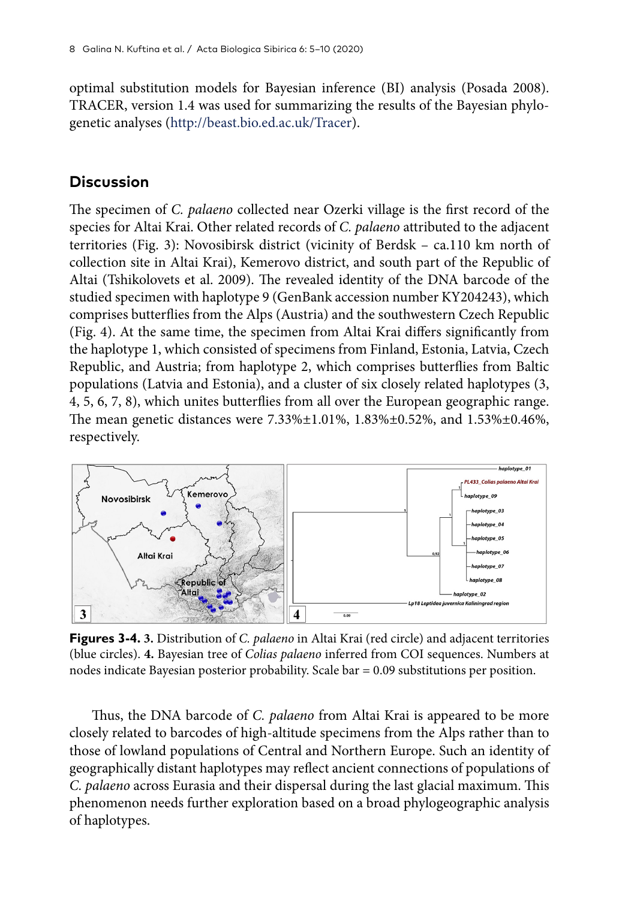optimal substitution models for Bayesian inference (BI) analysis (Posada 2008). TRACER, version 1.4 was used for summarizing the results of the Bayesian phylogenetic analyses ([http://beast.bio.ed.ac.uk/Tracer\)](http://beast.bio.ed.ac.uk/Tracer).

#### **Discussion**

The specimen of *C. palaeno* collected near Ozerki village is the first record of the species for Altai Krai. Other related records of *C. palaeno* attributed to the adjacent territories (Fig. 3): Novosibirsk district (vicinity of Berdsk – ca.110 km north of collection site in Altai Krai), Kemerovo district, and south part of the Republic of Altai (Tshikolovets et al. 2009). The revealed identity of the DNA barcode of the studied specimen with haplotype 9 (GenBank accession number KY204243), which comprises butterflies from the Alps (Austria) and the southwestern Czech Republic (Fig. 4). At the same time, the specimen from Altai Krai differs significantly from the haplotype 1, which consisted of specimens from Finland, Estonia, Latvia, Czech Republic, and Austria; from haplotype 2, which comprises butterflies from Baltic populations (Latvia and Estonia), and a cluster of six closely related haplotypes (3, 4, 5, 6, 7, 8), which unites butterflies from all over the European geographic range. The mean genetic distances were 7.33%±1.01%, 1.83%±0.52%, and 1.53%±0.46%, respectively.



**Figures 3-4. 3.** Distribution of *C. palaeno* in Altai Krai (red circle) and adjacent territories (blue circles). **4.** Bayesian tree of *Colias palaeno* inferred from COI sequences. Numbers at nodes indicate Bayesian posterior probability. Scale bar = 0.09 substitutions per position.

Thus, the DNA barcode of *C. palaeno* from Altai Krai is appeared to be more closely related to barcodes of high-altitude specimens from the Alps rather than to those of lowland populations of Central and Northern Europe. Such an identity of geographically distant haplotypes may reflect ancient connections of populations of *C. palaeno* across Eurasia and their dispersal during the last glacial maximum. This phenomenon needs further exploration based on a broad phylogeographic analysis of haplotypes.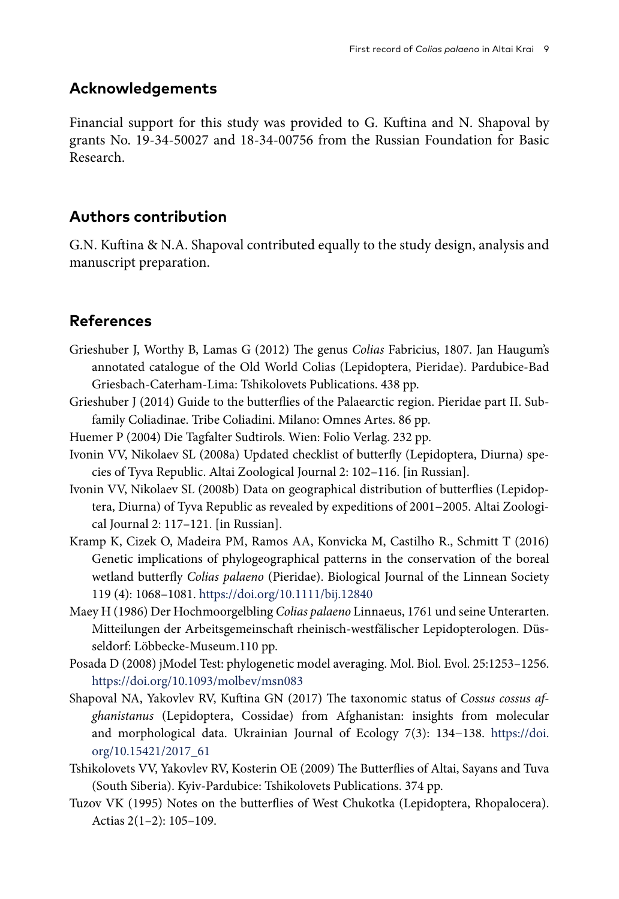#### **Acknowledgements**

Financial support for this study was provided to G. Kuftina and N. Shapoval by grants No. 19-34-50027 and 18-34-00756 from the Russian Foundation for Basic Research.

## **Authors contribution**

G.N. Kuftina & N.A. Shapoval contributed equally to the study design, analysis and manuscript preparation.

## **References**

- Grieshuber J, Worthy B, Lamas G (2012) The genus *Colias* Fabricius, 1807. Jan Haugum's annotated catalogue of the Old World Colias (Lepidoptera, Pieridae). Pardubice-Bad Griesbach-Caterham-Lima: Tshikolovets Publications. 438 pp.
- Grieshuber J (2014) Guide to the butterflies of the Palaearctic region. Pieridae part II. Subfamily Coliadinae. Tribe Coliadini. Milano: Omnes Artes. 86 pp.
- Huemer P (2004) Die Tagfalter Sudtirols. Wien: Folio Verlag. 232 pp.
- Ivonin VV, Nikolaev SL (2008a) Updated checklist of butterfly (Lepidoptera, Diurna) species of Tyva Republic. Altai Zoological Journal 2: 102–116. [in Russian].
- Ivonin VV, Nikolaev SL (2008b) Data on geographical distribution of butterflies (Lepidoptera, Diurna) of Tyva Republic as revealed by expeditions of 2001−2005. Altai Zoological Journal 2: 117–121. [in Russian].
- Kramp K, Cizek O, Madeira PM, Ramos AA, Konvicka M, Castilho R., Schmitt T (2016) Genetic implications of phylogeographical patterns in the conservation of the boreal wetland butterfly *Colias palaeno* (Pieridae). Biological Journal of the Linnean Society 119 (4): 1068–1081. <https://doi.org/10.1111/bij.12840>
- Maey H (1986) Der Hochmoorgelbling *Colias palaeno* Linnaeus, 1761 und seine Unterarten. Mitteilungen der Arbeitsgemeinschaft rheinisch-westfälischer Lepidopterologen. Düsseldorf: Löbbecke-Museum.110 pp.
- Posada D (2008) jModel Test: phylogenetic model averaging. Mol. Biol. Evol. 25:1253–1256. <https://doi.org/10.1093/molbev/msn083>
- Shapoval NA, Yakovlev RV, Kuftina GN (2017) The taxonomic status of *Cossus cossus afghanistanus* (Lepidoptera, Cossidae) from Afghanistan: insights from molecular and morphological data. Ukrainian Journal of Ecology 7(3): 134−138. [https://doi.](https://doi.org/10.15421/2017_61) [org/10.15421/2017\\_61](https://doi.org/10.15421/2017_61)
- Tshikolovets VV, Yakovlev RV, Kosterin OE (2009) The Butterflies of Altai, Sayans and Tuva (South Siberia). Kyiv-Pardubice: Tshikolovets Publications. 374 pp.
- Tuzov VK (1995) Notes on the butterflies of West Chukotka (Lepidoptera, Rhopalocera). Actias 2(1–2): 105–109.